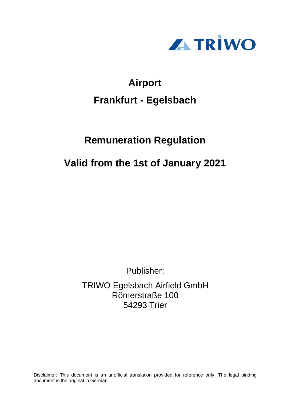

# **Airport Frankfurt - Egelsbach**

# **Remuneration Regulation**

# **Valid from the 1st of January 2021**

Publisher:

TRIWO Egelsbach Airfield GmbH Römerstraße 100 54293 Trier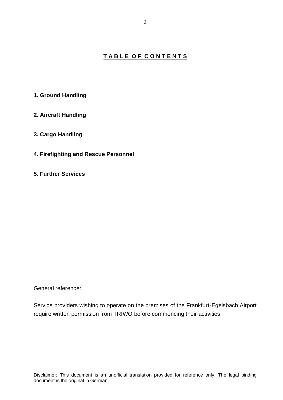### **T A B L E O F C O N T E N T S**

- **1. Ground Handling**
- **2. Aircraft Handling**

### **3. Cargo Handling**

- **4. Firefighting and Rescue Personnel**
- **5. Further Services**

#### General reference:

Service providers wishing to operate on the premises of the Frankfurt-Egelsbach Airport require written permission from TRIWO before commencing their activities.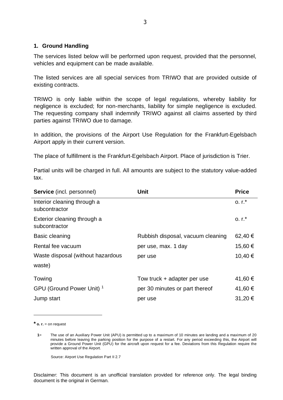#### **1. Ground Handling**

The services listed below will be performed upon request, provided that the personnel, vehicles and equipment can be made available.

The listed services are all special services from TRIWO that are provided outside of existing contracts.

TRIWO is only liable within the scope of legal regulations, whereby liability for negligence is excluded; for non-merchants, liability for simple negligence is excluded. The requesting company shall indemnify TRIWO against all claims asserted by third parties against TRIWO due to damage.

In addition, the provisions of the Airport Use Regulation for the Frankfurt-Egelsbach Airport apply in their current version.

The place of fulfillment is the Frankfurt-Egelsbach Airport. Place of jurisdiction is Trier.

Partial units will be charged in full. All amounts are subject to the statutory value-added tax.

| <b>Service</b> (incl. personnel)             | Unit                              | <b>Price</b> |
|----------------------------------------------|-----------------------------------|--------------|
| Interior cleaning through a<br>subcontractor |                                   | $0. r.*$     |
| Exterior cleaning through a<br>subcontractor |                                   | $0. r.*$     |
| Basic cleaning                               | Rubbish disposal, vacuum cleaning | 62,40 €      |
| Rental fee vacuum                            | per use, max. 1 day               | 15,60 €      |
| Waste disposal (without hazardous            | per use                           | 10,40 €      |
| waste)                                       |                                   |              |
| Towing                                       | Tow truck + adapter per use       | 41,60 €      |
| GPU (Ground Power Unit) <sup>1</sup>         | per 30 minutes or part thereof    | 41,60 €      |
| Jump start                                   | per use                           | 31,20 €      |

**\* o. r.** = on request

Source: Airport Use Regulation Part II 2.7

Disclaimer: This document is an unofficial translation provided for reference only. The legal binding document is the original in German.

**<sup>1</sup>**= The use of an Auxiliary Power Unit (APU) is permitted up to a maximum of 10 minutes are landing and a maximum of 20 minutes before leaving the parking position for the purpose of a restart. For any period exceeding this, the Airport will provide a Ground Power Unit (GPU) for the aircraft upon request for a fee. Deviations from this Regulation require the written approval of the Airport.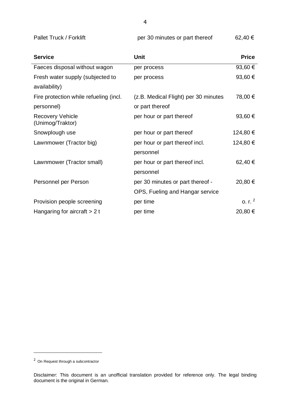Pallet Truck / Forklift per 30 minutes or part thereof 62,40  $\epsilon$ 

| <b>Service</b>                              | <b>Unit</b>                          | <b>Price</b>      |
|---------------------------------------------|--------------------------------------|-------------------|
| Faeces disposal without wagon               | per process                          | 93,60 €           |
| Fresh water supply (subjected to            | per process                          | 93,60 €           |
| availability)                               |                                      |                   |
| Fire protection while refueling (incl.      | (z.B. Medical Flight) per 30 minutes | 78,00 €           |
| personnel)                                  | or part thereof                      |                   |
| <b>Recovery Vehicle</b><br>(Unimog/Traktor) | per hour or part thereof             | 93,60 €           |
| Snowplough use                              | per hour or part thereof             | 124,80 €          |
| Lawnmower (Tractor big)                     | per hour or part thereof incl.       | 124,80 €          |
|                                             | personnel                            |                   |
| Lawnmower (Tractor small)                   | per hour or part thereof incl.       | 62,40 €           |
|                                             | personnel                            |                   |
| Personnel per Person                        | per 30 minutes or part thereof -     | 20,80 €           |
|                                             | OPS, Fueling and Hangar service      |                   |
| Provision people screening                  | per time                             | 0. r <sup>2</sup> |
| Hangaring for aircraft $> 2t$               | per time                             | 20,80 €           |

<sup>&</sup>lt;sup>2</sup> On Request through a subcontractor

Disclaimer: This document is an unofficial translation provided for reference only. The legal binding document is the original in German.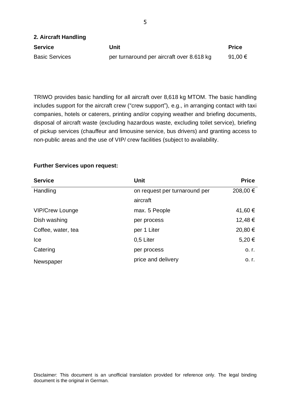| 2. Aircraft Handling  |                                           |              |
|-----------------------|-------------------------------------------|--------------|
| <b>Service</b>        | Unit                                      | <b>Price</b> |
| <b>Basic Services</b> | per turnaround per aircraft over 8.618 kg | 91,00 €      |

TRIWO provides basic handling for all aircraft over 8,618 kg MTOM. The basic handling includes support for the aircraft crew ("crew support"), e.g., in arranging contact with taxi companies, hotels or caterers, printing and/or copying weather and briefing documents, disposal of aircraft waste (excluding hazardous waste, excluding toilet service), briefing of pickup services (chauffeur and limousine service, bus drivers) and granting access to non-public areas and the use of VIP/ crew facilities (subject to availability.

| <b>Service</b>         | Unit                          | <b>Price</b> |
|------------------------|-------------------------------|--------------|
| Handling               | on request per turnaround per | 208,00 €     |
|                        | aircraft                      |              |
| <b>VIP/Crew Lounge</b> | max. 5 People                 | 41,60 €      |
| Dish washing           | per process                   | 12,48 €      |
| Coffee, water, tea     | per 1 Liter                   | 20,80 €      |
| Ice                    | 0,5 Liter                     | 5,20€        |
| Catering               | per process                   | $O, I$ .     |
| Newspaper              | price and delivery            | $O, I$ .     |

#### **Further Services upon request:**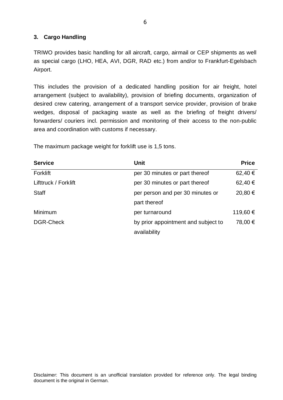#### **3. Cargo Handling**

TRIWO provides basic handling for all aircraft, cargo, airmail or CEP shipments as well as special cargo (LHO, HEA, AVI, DGR, RAD etc.) from and/or to Frankfurt-Egelsbach Airport.

This includes the provision of a dedicated handling position for air freight, hotel arrangement (subject to availability), provision of briefing documents, organization of desired crew catering, arrangement of a transport service provider, provision of brake wedges, disposal of packaging waste as well as the briefing of freight drivers/ forwarders/ couriers incl. permission and monitoring of their access to the non-public area and coordination with customs if necessary.

| <b>Service</b>       | <b>Unit</b>                         | <b>Price</b> |
|----------------------|-------------------------------------|--------------|
| Forklift             | per 30 minutes or part thereof      | 62,40 €      |
| Lifttruck / Forklift | per 30 minutes or part thereof      | 62,40 €      |
| <b>Staff</b>         | per person and per 30 minutes or    | 20,80 €      |
|                      | part thereof                        |              |
| Minimum              | per turnaround                      | 119,60 €     |
| <b>DGR-Check</b>     | by prior appointment and subject to | 78,00 €      |
|                      | availability                        |              |

The maximum package weight for forklift use is 1,5 tons.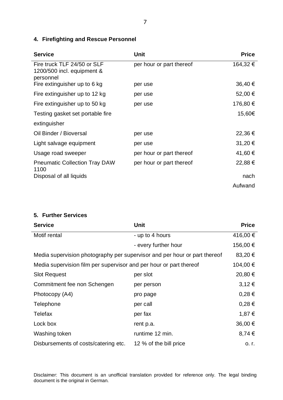# **4. Firefighting and Rescue Personnel**

| <b>Service</b>                                                         | Unit                     | <b>Price</b> |
|------------------------------------------------------------------------|--------------------------|--------------|
| Fire truck TLF 24/50 or SLF<br>1200/500 incl. equipment &<br>personnel | per hour or part thereof | 164,32 €     |
| Fire extinguisher up to 6 kg                                           | per use                  | 36,40 €      |
| Fire extinguisher up to 12 kg                                          | per use                  | 52,00 €      |
| Fire extinguisher up to 50 kg                                          | per use                  | 176,80 €     |
| Testing gasket set portable fire                                       |                          | 15,60€       |
| extinguisher                                                           |                          |              |
| Oil Binder / Bioversal                                                 | per use                  | 22,36 €      |
| Light salvage equipment                                                | per use                  | 31,20 €      |
| Usage road sweeper                                                     | per hour or part thereof | 41,60 €      |
| <b>Pneumatic Collection Tray DAW</b><br>1100                           | per hour or part thereof | 22,88 €      |
| Disposal of all liquids                                                |                          | nach         |
|                                                                        |                          | Aufwand      |

## **5. Further Services**

| <b>Service</b>                                                            | <b>Unit</b>            | <b>Price</b> |
|---------------------------------------------------------------------------|------------------------|--------------|
| Motif rental                                                              | - up to 4 hours        | 416,00 €     |
|                                                                           | - every further hour   | 156,00 €     |
| Media supervision photography per supervisor and per hour or part thereof |                        | 83,20 €      |
| Media supervision film per supervisor and per hour or part thereof        |                        | 104,00 €     |
| <b>Slot Request</b>                                                       | per slot               | 20,80 €      |
| Commitment fee non Schengen                                               | per person             | $3,12 \in$   |
| Photocopy (A4)                                                            | pro page               | $0,28 \in$   |
| Telephone                                                                 | per call               | $0,28 \in$   |
| <b>Telefax</b>                                                            | per fax                | 1,87 €       |
| Lock box                                                                  | rent p.a.              | 36,00 €      |
| Washing token                                                             | runtime 12 min.        | 8,74€        |
| Disbursements of costs/catering etc.                                      | 12 % of the bill price | o. r.        |